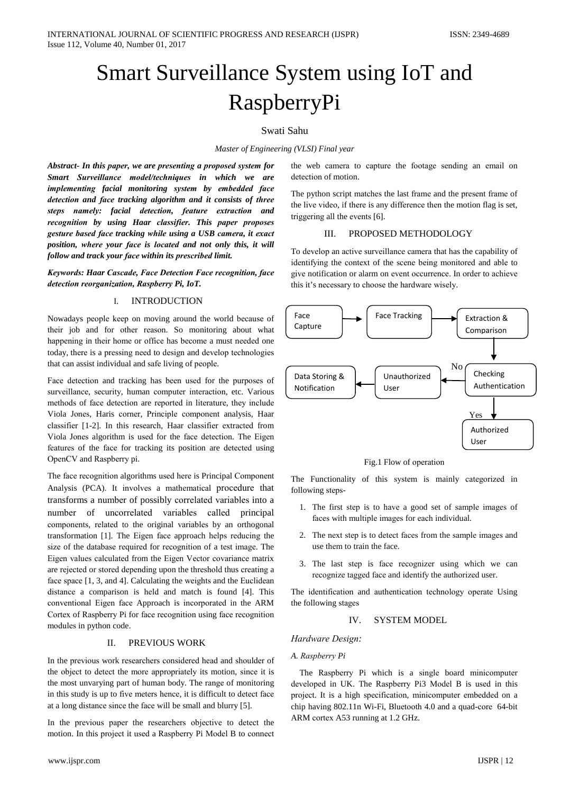# Smart Surveillance System using IoT and RaspberryPi

## Swati Sahu

## Master of Engineering (VLSI) Final year

Abstract- In this paper, we are presenting a proposed system for Smart Surveillance model/techniques in which we are implementing facial monitoring system by embedded face detection and face tracking algorithm and it consists of three steps namely: facial detection, feature extraction and recognition by using Haar classifier. This paper proposes gesture based face tracking while using a USB camera, it exact position, where your face is located and not only this, it will follow and track your face within its prescribed limit.

Keywords: Haar Cascade, Face Detection Face recognition, face detection reorganization, Raspberry Pi, IoT.

#### $\mathbf{I}$ **INTRODUCTION**

Nowadays people keep on moving around the world because of their job and for other reason. So monitoring about what happening in their home or office has become a must needed one today, there is a pressing need to design and develop technologies that can assist individual and safe living of people.

Face detection and tracking has been used for the purposes of surveillance, security, human computer interaction, etc. Various methods of face detection are reported in literature, they include Viola Jones, Haris corner, Principle component analysis, Haar classifier [1-2]. In this research, Haar classifier extracted from Viola Jones algorithm is used for the face detection. The Eigen features of the face for tracking its position are detected using OpenCV and Raspberry pi.

The face recognition algorithms used here is Principal Component Analysis (PCA). It involves a mathematical procedure that transforms a number of possibly correlated variables into a number of uncorrelated variables called principal components, related to the original variables by an orthogonal transformation [1]. The Eigen face approach helps reducing the size of the database required for recognition of a test image. The Eigen values calculated from the Eigen Vector covariance matrix are rejected or stored depending upon the threshold thus creating a face space [1, 3, and 4]. Calculating the weights and the Euclidean distance a comparison is held and match is found [4]. This conventional Eigen face Approach is incorporated in the ARM Cortex of Raspberry Pi for face recognition using face recognition modules in python code.

#### Π. PREVIOUS WORK

In the previous work researchers considered head and shoulder of the object to detect the more appropriately its motion, since it is the most unvarying part of human body. The range of monitoring in this study is up to five meters hence, it is difficult to detect face at a long distance since the face will be small and blurry [5].

In the previous paper the researchers objective to detect the motion. In this project it used a Raspberry Pi Model B to connect the web camera to capture the footage sending an email on detection of motion.

The python script matches the last frame and the present frame of the live video, if there is any difference then the motion flag is set, triggering all the events [6].

#### PROPOSED METHODOLOGY III.

To develop an active surveillance camera that has the capability of identifying the context of the scene being monitored and able to give notification or alarm on event occurrence. In order to achieve this it's necessary to choose the hardware wisely.



Fig.1 Flow of operation

The Functionality of this system is mainly categorized in following steps-

- 1. The first step is to have a good set of sample images of faces with multiple images for each individual.
- 2. The next step is to detect faces from the sample images and use them to train the face.
- 3. The last step is face recognizer using which we can recognize tagged face and identify the authorized user.

The identification and authentication technology operate Using the following stages

#### $\mathbf{I} \mathbf{V}$ **SYSTEM MODEL**

## Hardware Design:

## A. Raspberry Pi

The Raspberry Pi which is a single board minicomputer developed in UK. The Raspberry Pi3 Model B is used in this project. It is a high specification, minicomputer embedded on a chip having 802.11n Wi-Fi, Bluetooth 4.0 and a quad-core 64-bit ARM cortex A53 running at 1.2 GHz.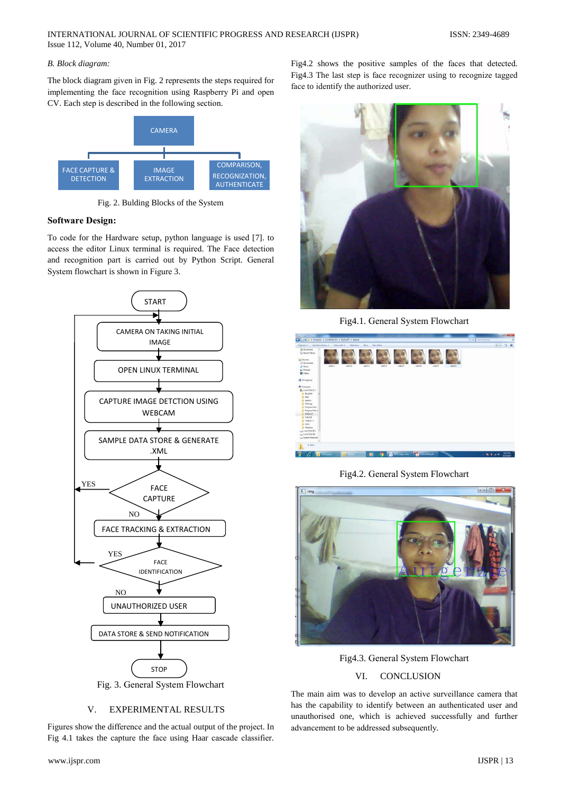## B. Block diagram:

The block diagram given in Fig. 2 represents the steps required for implementing the face recognition using Raspberry Pi and open CV. Each step is described in the following section.



Fig. 2. Bulding Blocks of the System

## **Software Design:**

To code for the Hardware setup, python language is used [7]. to access the editor Linux terminal is required. The Face detection and recognition part is carried out by Python Script. General System flowchart is shown in Figure 3.



## V. **EXPERIMENTAL RESULTS**

Figures show the difference and the actual output of the project. In Fig 4.1 takes the capture the face using Haar cascade classifier.

Fig4.2 shows the positive samples of the faces that detected. Fig4.3 The last step is face recognizer using to recognize tagged face to identify the authorized user.



Fig4.1. General System Flowchart



Fig4.2. General System Flowchart



Fig4.3. General System Flowchart

#### VI. **CONCLUSION**

The main aim was to develop an active surveillance camera that has the capability to identify between an authenticated user and unauthorised one, which is achieved successfully and further advancement to be addressed subsequently.